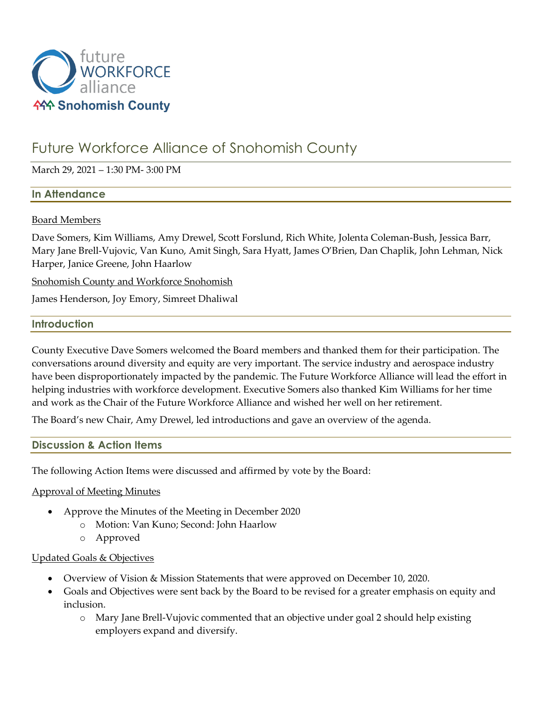

# Future Workforce Alliance of Snohomish County

## March 29, 2021 – 1:30 PM- 3:00 PM

## **In Attendance**

## Board Members

Dave Somers, Kim Williams, Amy Drewel, Scott Forslund, Rich White, Jolenta Coleman-Bush, Jessica Barr, Mary Jane Brell-Vujovic, Van Kuno, Amit Singh, Sara Hyatt, James O'Brien, Dan Chaplik, John Lehman, Nick Harper, Janice Greene, John Haarlow

Snohomish County and Workforce Snohomish

James Henderson, Joy Emory, Simreet Dhaliwal

## **Introduction**

County Executive Dave Somers welcomed the Board members and thanked them for their participation. The conversations around diversity and equity are very important. The service industry and aerospace industry have been disproportionately impacted by the pandemic. The Future Workforce Alliance will lead the effort in helping industries with workforce development. Executive Somers also thanked Kim Williams for her time and work as the Chair of the Future Workforce Alliance and wished her well on her retirement.

The Board's new Chair, Amy Drewel, led introductions and gave an overview of the agenda.

## **Discussion & Action Items**

The following Action Items were discussed and affirmed by vote by the Board:

#### Approval of Meeting Minutes

- Approve the Minutes of the Meeting in December 2020
	- o Motion: Van Kuno; Second: John Haarlow
	- o Approved

#### Updated Goals & Objectives

- Overview of Vision & Mission Statements that were approved on December 10, 2020.
- Goals and Objectives were sent back by the Board to be revised for a greater emphasis on equity and inclusion.
	- o Mary Jane Brell-Vujovic commented that an objective under goal 2 should help existing employers expand and diversify.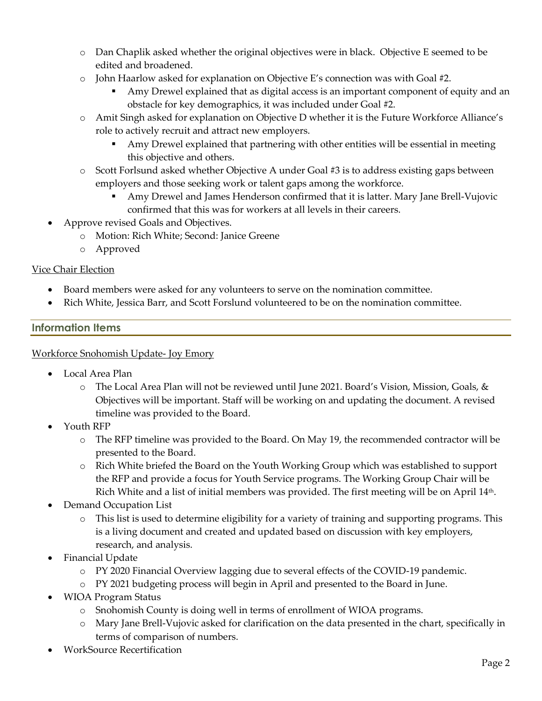- o Dan Chaplik asked whether the original objectives were in black. Objective E seemed to be edited and broadened.
- $\circ$  John Haarlow asked for explanation on Objective E's connection was with Goal #2.
	- Amy Drewel explained that as digital access is an important component of equity and an obstacle for key demographics, it was included under Goal #2.
- o Amit Singh asked for explanation on Objective D whether it is the Future Workforce Alliance's role to actively recruit and attract new employers.
	- Amy Drewel explained that partnering with other entities will be essential in meeting this objective and others.
- o Scott Forlsund asked whether Objective A under Goal #3 is to address existing gaps between employers and those seeking work or talent gaps among the workforce.
	- Amy Drewel and James Henderson confirmed that it is latter. Mary Jane Brell-Vujovic confirmed that this was for workers at all levels in their careers.
- Approve revised Goals and Objectives.
	- o Motion: Rich White; Second: Janice Greene
	- o Approved

# Vice Chair Election

- Board members were asked for any volunteers to serve on the nomination committee.
- Rich White, Jessica Barr, and Scott Forslund volunteered to be on the nomination committee.

# **Information Items**

## Workforce Snohomish Update- Joy Emory

- Local Area Plan
	- o The Local Area Plan will not be reviewed until June 2021. Board's Vision, Mission, Goals, & Objectives will be important. Staff will be working on and updating the document. A revised timeline was provided to the Board.
- Youth RFP
	- o The RFP timeline was provided to the Board. On May 19, the recommended contractor will be presented to the Board.
	- o Rich White briefed the Board on the Youth Working Group which was established to support the RFP and provide a focus for Youth Service programs. The Working Group Chair will be Rich White and a list of initial members was provided. The first meeting will be on April 14th.
- Demand Occupation List
	- o This list is used to determine eligibility for a variety of training and supporting programs. This is a living document and created and updated based on discussion with key employers, research, and analysis.
- Financial Update
	- o PY 2020 Financial Overview lagging due to several effects of the COVID-19 pandemic.
	- o PY 2021 budgeting process will begin in April and presented to the Board in June.
- WIOA Program Status
	- o Snohomish County is doing well in terms of enrollment of WIOA programs.
	- o Mary Jane Brell-Vujovic asked for clarification on the data presented in the chart, specifically in terms of comparison of numbers.
- WorkSource Recertification